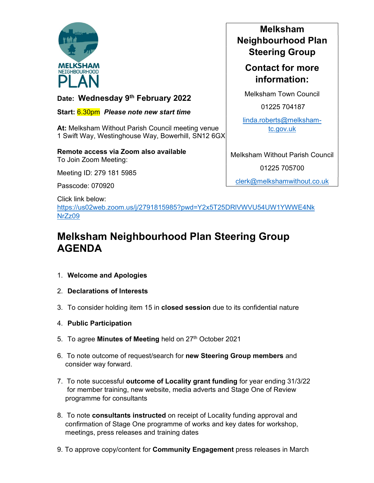

## Date: Wednesday 9<sup>th</sup> February 2022

Start: 6.30pm Please note new start time

At: Melksham Without Parish Council meeting venue 1 Swift Way, Westinghouse Way, Bowerhill, SN12 6GX

Remote access via Zoom also available To Join Zoom Meeting:

Meeting ID: 279 181 5985

Passcode: 070920

## Melksham Neighbourhood Plan Steering Group

## Contact for more information:

Melksham Town Council

01225 704187

linda.roberts@melkshamtc.gov.uk

Melksham Without Parish Council

01225 705700

clerk@melkshamwithout.co.uk

Click link below: https://us02web.zoom.us/j/2791815985?pwd=Y2x5T25DRlVWVU54UW1YWWE4Nk NrZz09

## Melksham Neighbourhood Plan Steering Group AGENDA

- 1. Welcome and Apologies
- 2. Declarations of Interests
- 3. To consider holding item 15 in closed session due to its confidential nature
- 4. Public Participation
- 5. To agree **Minutes of Meeting** held on  $27<sup>th</sup>$  October 2021
- 6. To note outcome of request/search for new Steering Group members and consider way forward.
- 7. To note successful outcome of Locality grant funding for year ending 31/3/22 for member training, new website, media adverts and Stage One of Review programme for consultants
- 8. To note consultants instructed on receipt of Locality funding approval and confirmation of Stage One programme of works and key dates for workshop, meetings, press releases and training dates
- 9. To approve copy/content for **Community Engagement** press releases in March